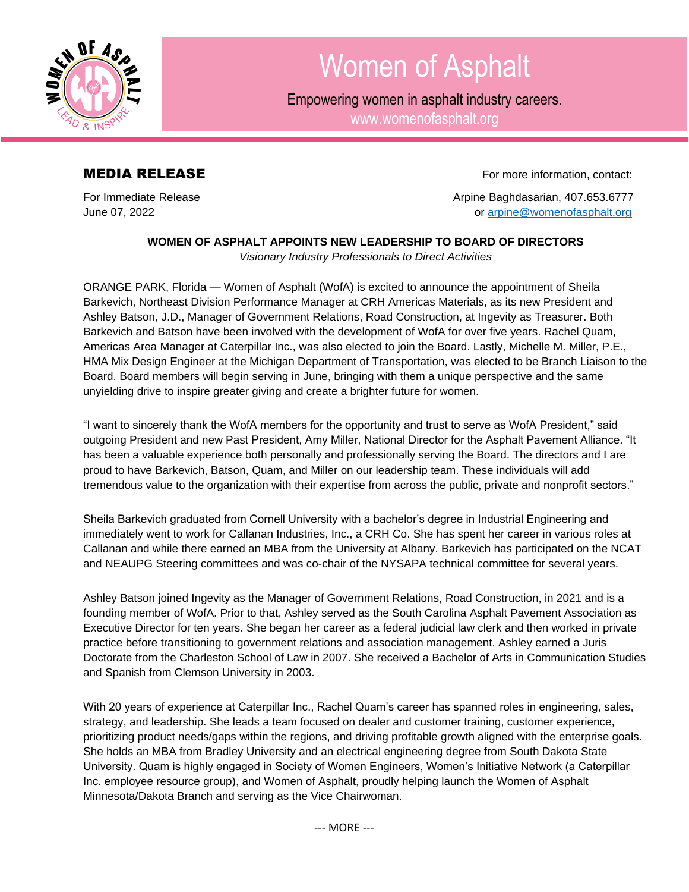

## Women of Asphalt

Empowering women in asphalt industry careers.

www.womenofasphalt.org

**MEDIA RELEASE For more information, contact:** 

For Immediate Release **Arpine Baghdasarian, 407.653.6777** June 07, 2022 **June 07, 2022 or arpine Community Community Community Community Community Community Community Community Community Community Community Community Community Community Community Community Community Community C** 

## **WOMEN OF ASPHALT APPOINTS NEW LEADERSHIP TO BOARD OF DIRECTORS**

*Visionary Industry Professionals to Direct Activities* 

ORANGE PARK, Florida — Women of Asphalt (WofA) is excited to announce the appointment of Sheila Barkevich, Northeast Division Performance Manager at CRH Americas Materials, as its new President and Ashley Batson, J.D., Manager of Government Relations, Road Construction, at Ingevity as Treasurer. Both Barkevich and Batson have been involved with the development of WofA for over five years. Rachel Quam, Americas Area Manager at Caterpillar Inc., was also elected to join the Board. Lastly, Michelle M. Miller, P.E., HMA Mix Design Engineer at the Michigan Department of Transportation, was elected to be Branch Liaison to the Board. Board members will begin serving in June, bringing with them a unique perspective and the same unyielding drive to inspire greater giving and create a brighter future for women.

"I want to sincerely thank the WofA members for the opportunity and trust to serve as WofA President," said outgoing President and new Past President, Amy Miller, National Director for the Asphalt Pavement Alliance. "It has been a valuable experience both personally and professionally serving the Board. The directors and I are proud to have Barkevich, Batson, Quam, and Miller on our leadership team. These individuals will add tremendous value to the organization with their expertise from across the public, private and nonprofit sectors."

Sheila Barkevich graduated from Cornell University with a bachelor's degree in Industrial Engineering and immediately went to work for Callanan Industries, Inc., a CRH Co. She has spent her career in various roles at Callanan and while there earned an MBA from the University at Albany. Barkevich has participated on the NCAT and NEAUPG Steering committees and was co-chair of the NYSAPA technical committee for several years.

Ashley Batson joined Ingevity as the Manager of Government Relations, Road Construction, in 2021 and is a founding member of WofA. Prior to that, Ashley served as the South Carolina Asphalt Pavement Association as Executive Director for ten years. She began her career as a federal judicial law clerk and then worked in private practice before transitioning to government relations and association management. Ashley earned a Juris Doctorate from the Charleston School of Law in 2007. She received a Bachelor of Arts in Communication Studies and Spanish from Clemson University in 2003.

With 20 years of experience at Caterpillar Inc., Rachel Quam's career has spanned roles in engineering, sales, strategy, and leadership. She leads a team focused on dealer and customer training, customer experience, prioritizing product needs/gaps within the regions, and driving profitable growth aligned with the enterprise goals. She holds an MBA from Bradley University and an electrical engineering degree from South Dakota State University. Quam is highly engaged in Society of Women Engineers, Women's Initiative Network (a Caterpillar Inc. employee resource group), and Women of Asphalt, proudly helping launch the Women of Asphalt Minnesota/Dakota Branch and serving as the Vice Chairwoman.